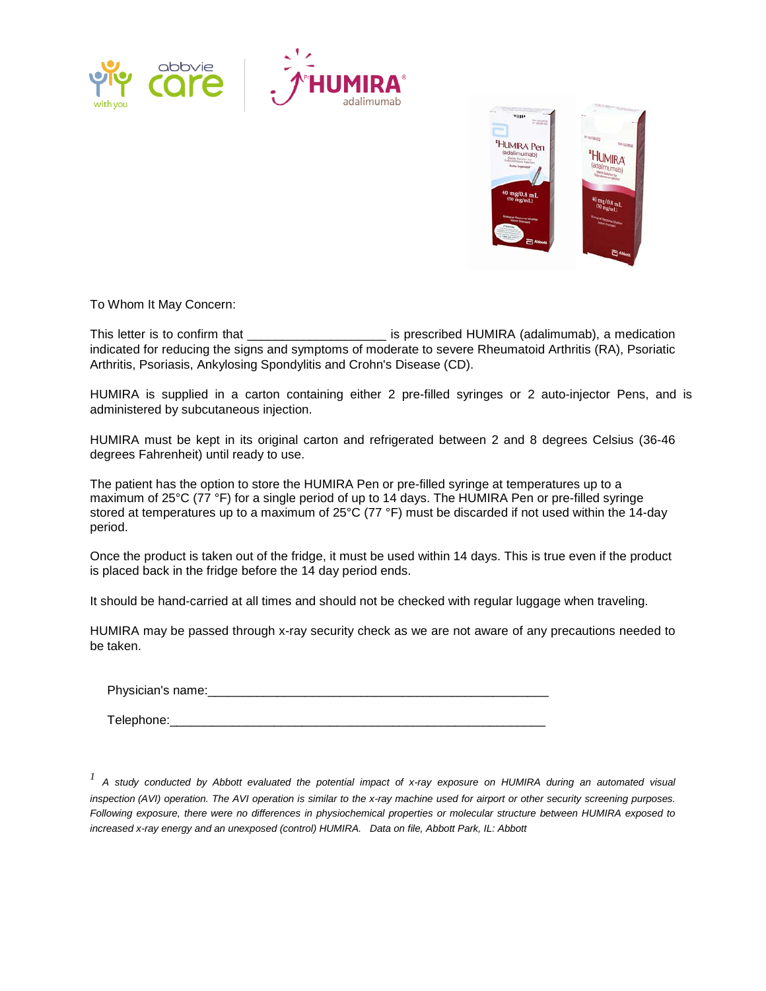



To Whom It May Concern:

This letter is to confirm that \_\_\_\_\_\_\_\_\_\_\_\_\_\_\_\_\_\_\_\_\_\_\_\_\_\_\_ is prescribed HUMIRA (adalimumab), a medication indicated for reducing the signs and symptoms of moderate to severe Rheumatoid Arthritis (RA), Psoriatic Arthritis, Psoriasis, Ankylosing Spondylitis and Crohn's Disease (CD).

HUMIRA is supplied in a carton containing either 2 pre-filled syringes or 2 auto-injector Pens, and is administered by subcutaneous injection.

HUMIRA must be kept in its original carton and refrigerated between 2 and 8 degrees Celsius (36-46 degrees Fahrenheit) until ready to use.

The patient has the option to store the HUMIRA Pen or pre-filled syringe at temperatures up to a maximum of 25°C (77 °F) for a single period of up to 14 days. The HUMIRA Pen or pre-filled syringe stored at temperatures up to a maximum of 25°C (77 °F) must be discarded if not used within the 14-day period.

Once the product is taken out of the fridge, it must be used within 14 days. This is true even if the product is placed back in the fridge before the 14 day period ends.

It should be hand-carried at all times and should not be checked with regular luggage when traveling.

HUMIRA may be passed through x-ray security check as we are not aware of any precautions needed to be taken.

Physician's name:

Telephone:\_\_\_\_\_\_\_\_\_\_\_\_\_\_\_\_\_\_\_\_\_\_\_\_\_\_\_\_\_\_\_\_\_\_\_\_\_\_\_\_\_\_\_\_\_\_\_\_\_\_\_\_\_\_

*<sup>1</sup> A study conducted by Abbott evaluated the potential impact of x-ray exposure on HUMIRA during an automated visual inspection (AVI) operation. The AVI operation is similar to the x-ray machine used for airport or other security screening purposes. Following exposure, there were no differences in physiochemical properties or molecular structure between HUMIRA exposed to increased x-ray energy and an unexposed (control) HUMIRA. Data on file, Abbott Park, IL: Abbott*